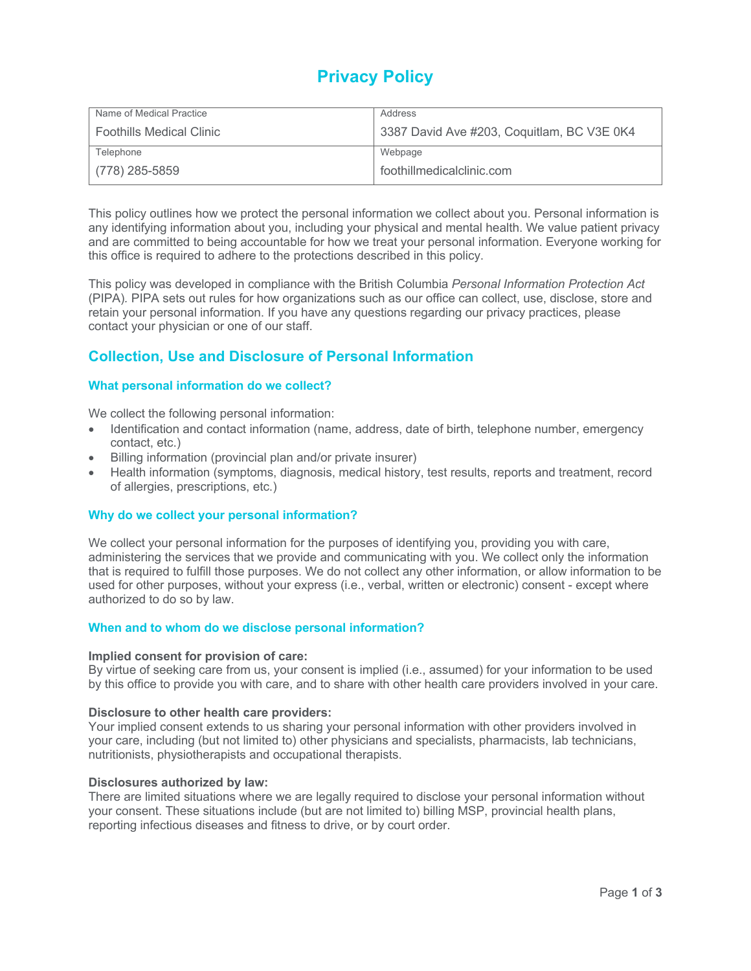# **Privacy Policy**

| Name of Medical Practice        | Address                                    |
|---------------------------------|--------------------------------------------|
| <b>Foothills Medical Clinic</b> | 3387 David Ave #203, Coquitlam, BC V3E 0K4 |
| Telephone                       | Webpage                                    |
| $(778)$ 285-5859                | foothillmedicalclinic.com                  |

This policy outlines how we protect the personal information we collect about you. Personal information is any identifying information about you, including your physical and mental health. We value patient privacy and are committed to being accountable for how we treat your personal information. Everyone working for this office is required to adhere to the protections described in this policy.

This policy was developed in compliance with the British Columbia *Personal Information Protection Act* (PIPA)*.* PIPA sets out rules for how organizations such as our office can collect, use, disclose, store and retain your personal information. If you have any questions regarding our privacy practices, please contact your physician or one of our staff.

# **Collection, Use and Disclosure of Personal Information**

### **What personal information do we collect?**

We collect the following personal information:

- Identification and contact information (name, address, date of birth, telephone number, emergency contact, etc.)
- Billing information (provincial plan and/or private insurer)
- Health information (symptoms, diagnosis, medical history, test results, reports and treatment, record of allergies, prescriptions, etc.)

### **Why do we collect your personal information?**

We collect your personal information for the purposes of identifying you, providing you with care, administering the services that we provide and communicating with you. We collect only the information that is required to fulfill those purposes. We do not collect any other information, or allow information to be used for other purposes, without your express (i.e., verbal, written or electronic) consent - except where authorized to do so by law.

### **When and to whom do we disclose personal information?**

### **Implied consent for provision of care:**

By virtue of seeking care from us, your consent is implied (i.e., assumed) for your information to be used by this office to provide you with care, and to share with other health care providers involved in your care.

### **Disclosure to other health care providers:**

Your implied consent extends to us sharing your personal information with other providers involved in your care, including (but not limited to) other physicians and specialists, pharmacists, lab technicians, nutritionists, physiotherapists and occupational therapists.

### **Disclosures authorized by law:**

There are limited situations where we are legally required to disclose your personal information without your consent. These situations include (but are not limited to) billing MSP, provincial health plans, reporting infectious diseases and fitness to drive, or by court order.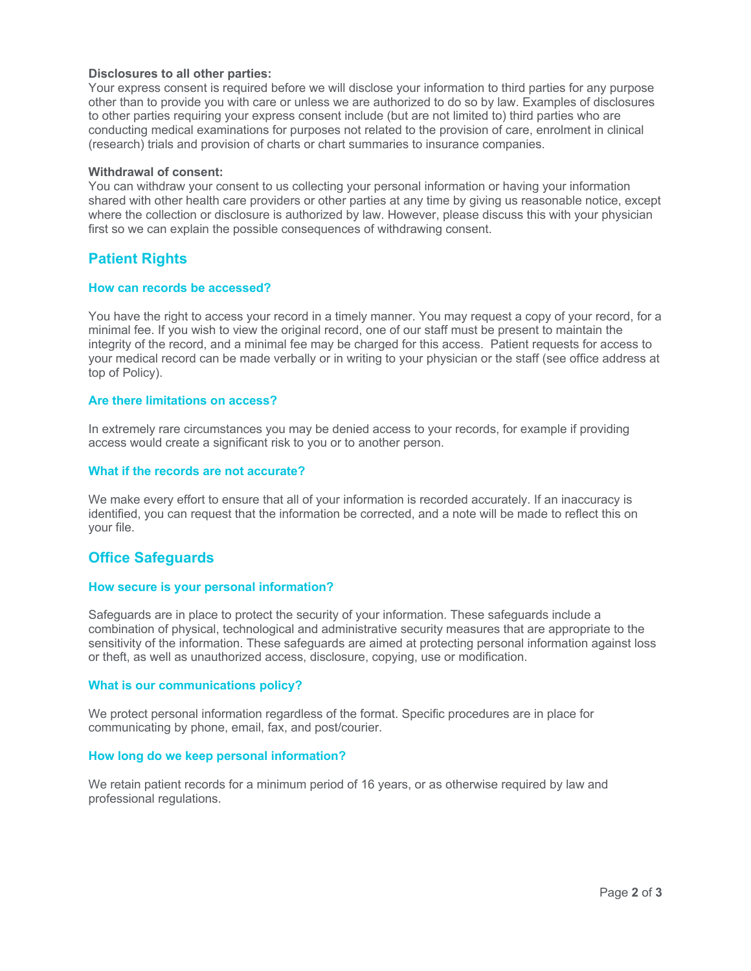### **Disclosures to all other parties:**

Your express consent is required before we will disclose your information to third parties for any purpose other than to provide you with care or unless we are authorized to do so by law. Examples of disclosures to other parties requiring your express consent include (but are not limited to) third parties who are conducting medical examinations for purposes not related to the provision of care, enrolment in clinical (research) trials and provision of charts or chart summaries to insurance companies.

### **Withdrawal of consent:**

You can withdraw your consent to us collecting your personal information or having your information shared with other health care providers or other parties at any time by giving us reasonable notice, except where the collection or disclosure is authorized by law. However, please discuss this with your physician first so we can explain the possible consequences of withdrawing consent.

# **Patient Rights**

#### **How can records be accessed?**

You have the right to access your record in a timely manner. You may request a copy of your record, for a minimal fee. If you wish to view the original record, one of our staff must be present to maintain the integrity of the record, and a minimal fee may be charged for this access. Patient requests for access to your medical record can be made verbally or in writing to your physician or the staff (see office address at top of Policy).

### **Are there limitations on access?**

In extremely rare circumstances you may be denied access to your records, for example if providing access would create a significant risk to you or to another person.

#### **What if the records are not accurate?**

We make every effort to ensure that all of your information is recorded accurately. If an inaccuracy is identified, you can request that the information be corrected, and a note will be made to reflect this on your file.

# **Office Safeguards**

#### **How secure is your personal information?**

Safeguards are in place to protect the security of your information. These safeguards include a combination of physical, technological and administrative security measures that are appropriate to the sensitivity of the information. These safeguards are aimed at protecting personal information against loss or theft, as well as unauthorized access, disclosure, copying, use or modification.

#### **What is our communications policy?**

We protect personal information regardless of the format. Specific procedures are in place for communicating by phone, email, fax, and post/courier.

### **How long do we keep personal information?**

We retain patient records for a minimum period of 16 years, or as otherwise required by law and professional regulations.